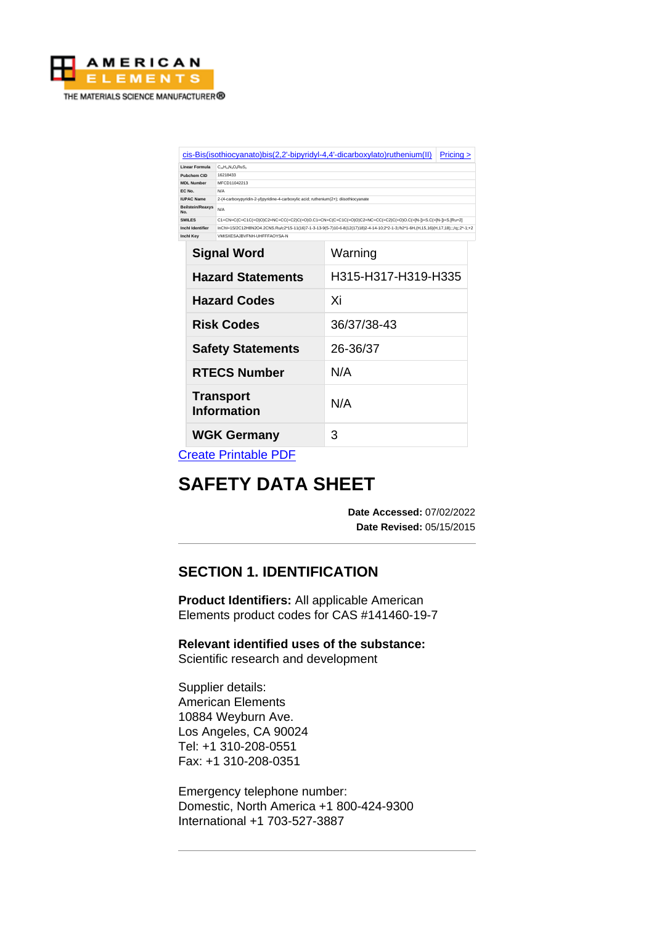

| cis-Bis(isothiocyanato)bis(2,2'-bipyridyl-4,4'-dicarboxylato)ruthenium(II)<br>Pricing > |                                                                                                                                    |  |  |
|-----------------------------------------------------------------------------------------|------------------------------------------------------------------------------------------------------------------------------------|--|--|
| <b>Linear Formula</b>                                                                   | $C_{26}H_{16}N_{6}O_{8}RuS_{2}$                                                                                                    |  |  |
| Pubchem CID                                                                             | 16218433                                                                                                                           |  |  |
| <b>MDL Number</b>                                                                       | MFCD11042213                                                                                                                       |  |  |
| EC No.                                                                                  | N/A                                                                                                                                |  |  |
| <b>IUPAC Name</b>                                                                       | 2-(4-carboxypyridin-2-yl)pyridine-4-carboxylic acid: ruthenium(2+): diisothiocyanate                                               |  |  |
| <b>Beilstein/Reaxys</b><br>No.                                                          | N/A                                                                                                                                |  |  |
| <b>SMILES</b>                                                                           | C1=CN=C(C=C1C(=O)O)C2=NC=CC(=C2)C(=O)O.C1=CN=C(C=C1C(=O)O)C2=NC=CC(=C2)C(=O)O.C(=[N-])=S.C(=[N-])=S.[Ru+2]                         |  |  |
| <b>Inchl Identifier</b>                                                                 | InChI=1S/2C12H8N2O4.2CNS.Ru/c2*15-11(16)7-1-3-13-9(5-7)10-6-8(12(17)18)2-4-14-10;2*2-1-3;/h2*1-6H,(H,15,16)(H,17,18);;;/q;;2*-1;+2 |  |  |
| <b>Inchl Kev</b>                                                                        | VMISXESA.IRVENH-UHEFFAOYSA-N                                                                                                       |  |  |

| <b>Signal Word</b>              | Warning             |  |
|---------------------------------|---------------------|--|
| <b>Hazard Statements</b>        | H315-H317-H319-H335 |  |
| <b>Hazard Codes</b>             | Xi                  |  |
| <b>Risk Codes</b>               | 36/37/38-43         |  |
| <b>Safety Statements</b>        | 26-36/37            |  |
| <b>RTECS Number</b>             | N/A                 |  |
| <b>Transport</b><br>Information | N/A                 |  |
| <b>WGK Germany</b>              | 3                   |  |

[Create Printable PDF](https://www.americanelements.com/printpdf/cas/141460-19-7/sds)

# **SAFETY DATA SHEET**

**Date Accessed:** 07/02/2022 **Date Revised:** 05/15/2015

# **SECTION 1. IDENTIFICATION**

**Product Identifiers:** All applicable American Elements product codes for CAS #141460-19-7

**Relevant identified uses of the substance:** Scientific research and development

Supplier details: American Elements 10884 Weyburn Ave. Los Angeles, CA 90024 Tel: +1 310-208-0551 Fax: +1 310-208-0351

Emergency telephone number: Domestic, North America +1 800-424-9300 International +1 703-527-3887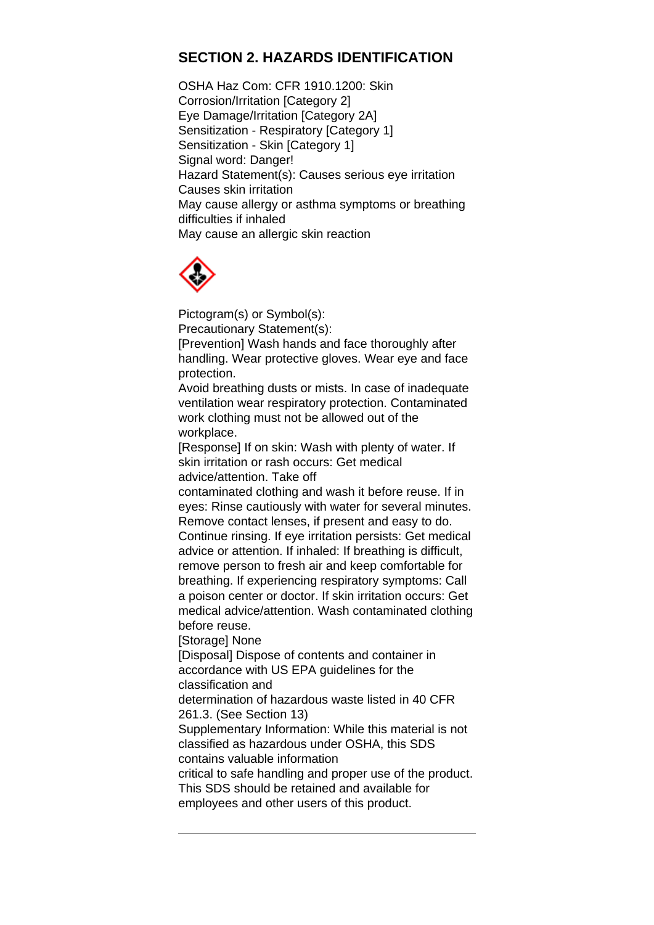# **SECTION 2. HAZARDS IDENTIFICATION**

OSHA Haz Com: CFR 1910.1200: Skin Corrosion/Irritation [Category 2] Eye Damage/Irritation [Category 2A] Sensitization - Respiratory [Category 1] Sensitization - Skin [Category 1] Signal word: Danger! Hazard Statement(s): Causes serious eye irritation Causes skin irritation May cause allergy or asthma symptoms or breathing difficulties if inhaled May cause an allergic skin reaction



Pictogram(s) or Symbol(s):

Precautionary Statement(s):

[Prevention] Wash hands and face thoroughly after handling. Wear protective gloves. Wear eye and face protection.

Avoid breathing dusts or mists. In case of inadequate ventilation wear respiratory protection. Contaminated work clothing must not be allowed out of the workplace.

[Response] If on skin: Wash with plenty of water. If skin irritation or rash occurs: Get medical advice/attention. Take off

contaminated clothing and wash it before reuse. If in eyes: Rinse cautiously with water for several minutes. Remove contact lenses, if present and easy to do.

Continue rinsing. If eye irritation persists: Get medical advice or attention. If inhaled: If breathing is difficult, remove person to fresh air and keep comfortable for breathing. If experiencing respiratory symptoms: Call a poison center or doctor. If skin irritation occurs: Get medical advice/attention. Wash contaminated clothing before reuse.

[Storage] None

[Disposal] Dispose of contents and container in accordance with US EPA guidelines for the classification and

determination of hazardous waste listed in 40 CFR 261.3. (See Section 13)

Supplementary Information: While this material is not classified as hazardous under OSHA, this SDS contains valuable information

critical to safe handling and proper use of the product. This SDS should be retained and available for employees and other users of this product.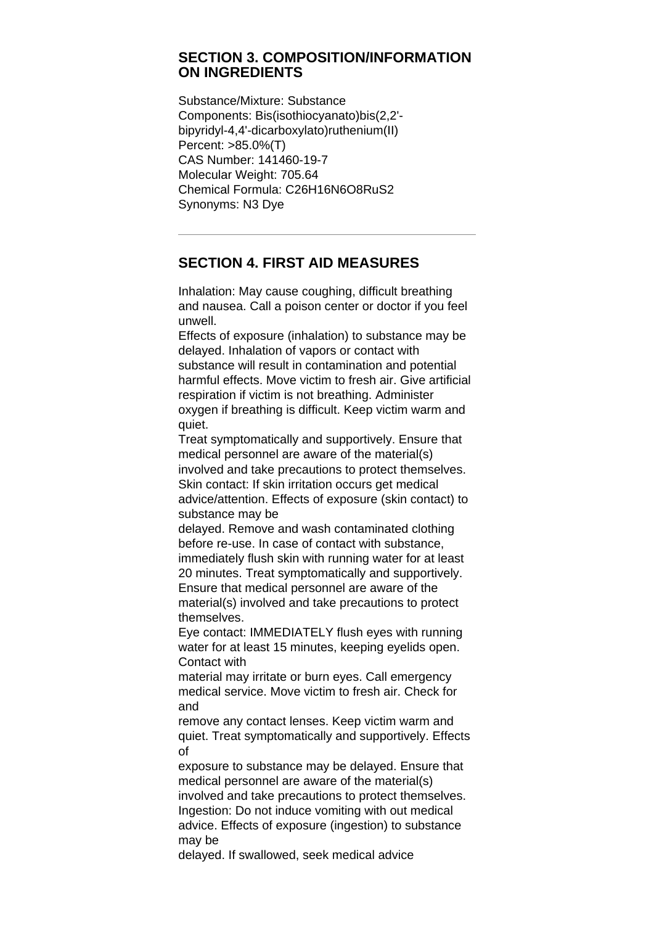#### **SECTION 3. COMPOSITION/INFORMATION ON INGREDIENTS**

Substance/Mixture: Substance Components: Bis(isothiocyanato)bis(2,2' bipyridyl-4,4'-dicarboxylato)ruthenium(II) Percent: >85.0%(T) CAS Number: 141460-19-7 Molecular Weight: 705.64 Chemical Formula: C26H16N6O8RuS2 Synonyms: N3 Dye

# **SECTION 4. FIRST AID MEASURES**

Inhalation: May cause coughing, difficult breathing and nausea. Call a poison center or doctor if you feel unwell.

Effects of exposure (inhalation) to substance may be delayed. Inhalation of vapors or contact with substance will result in contamination and potential harmful effects. Move victim to fresh air. Give artificial respiration if victim is not breathing. Administer oxygen if breathing is difficult. Keep victim warm and quiet.

Treat symptomatically and supportively. Ensure that medical personnel are aware of the material(s) involved and take precautions to protect themselves. Skin contact: If skin irritation occurs get medical advice/attention. Effects of exposure (skin contact) to substance may be

delayed. Remove and wash contaminated clothing before re-use. In case of contact with substance, immediately flush skin with running water for at least 20 minutes. Treat symptomatically and supportively. Ensure that medical personnel are aware of the material(s) involved and take precautions to protect themselves.

Eye contact: IMMEDIATELY flush eyes with running water for at least 15 minutes, keeping eyelids open. Contact with

material may irritate or burn eyes. Call emergency medical service. Move victim to fresh air. Check for and

remove any contact lenses. Keep victim warm and quiet. Treat symptomatically and supportively. Effects of

exposure to substance may be delayed. Ensure that medical personnel are aware of the material(s) involved and take precautions to protect themselves. Ingestion: Do not induce vomiting with out medical advice. Effects of exposure (ingestion) to substance may be

delayed. If swallowed, seek medical advice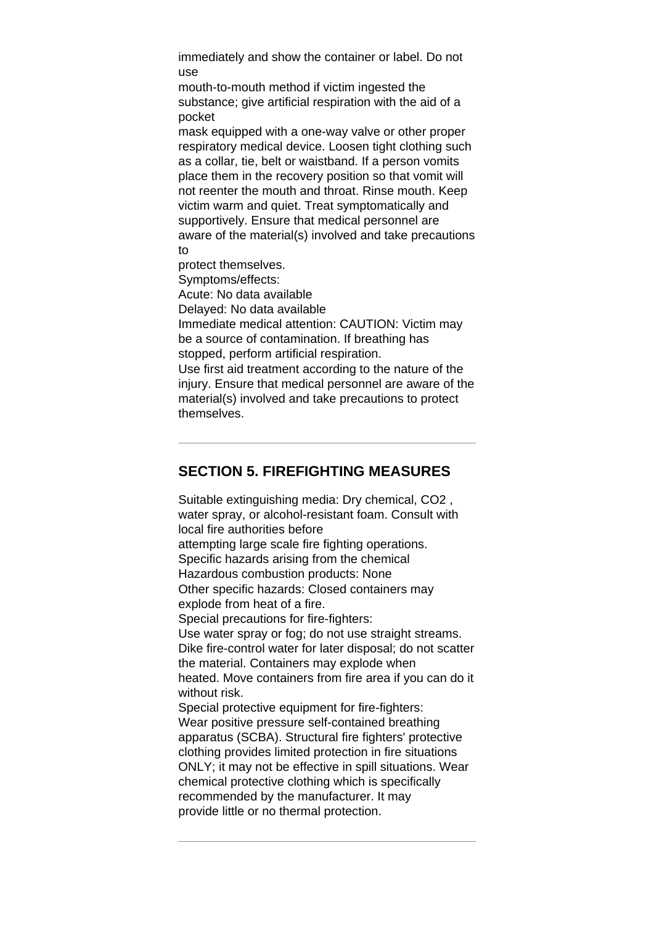immediately and show the container or label. Do not use

mouth-to-mouth method if victim ingested the substance; give artificial respiration with the aid of a pocket

mask equipped with a one-way valve or other proper respiratory medical device. Loosen tight clothing such as a collar, tie, belt or waistband. If a person vomits place them in the recovery position so that vomit will not reenter the mouth and throat. Rinse mouth. Keep victim warm and quiet. Treat symptomatically and supportively. Ensure that medical personnel are aware of the material(s) involved and take precautions to

protect themselves.

Symptoms/effects:

Acute: No data available

Delayed: No data available

Immediate medical attention: CAUTION: Victim may be a source of contamination. If breathing has stopped, perform artificial respiration.

Use first aid treatment according to the nature of the injury. Ensure that medical personnel are aware of the material(s) involved and take precautions to protect themselves.

# **SECTION 5. FIREFIGHTING MEASURES**

Suitable extinguishing media: Dry chemical, CO2 , water spray, or alcohol-resistant foam. Consult with local fire authorities before attempting large scale fire fighting operations. Specific hazards arising from the chemical Hazardous combustion products: None Other specific hazards: Closed containers may explode from heat of a fire. Special precautions for fire-fighters: Use water spray or fog; do not use straight streams. Dike fire-control water for later disposal; do not scatter the material. Containers may explode when heated. Move containers from fire area if you can do it without risk. Special protective equipment for fire-fighters: Wear positive pressure self-contained breathing apparatus (SCBA). Structural fire fighters' protective clothing provides limited protection in fire situations ONLY; it may not be effective in spill situations. Wear chemical protective clothing which is specifically recommended by the manufacturer. It may provide little or no thermal protection.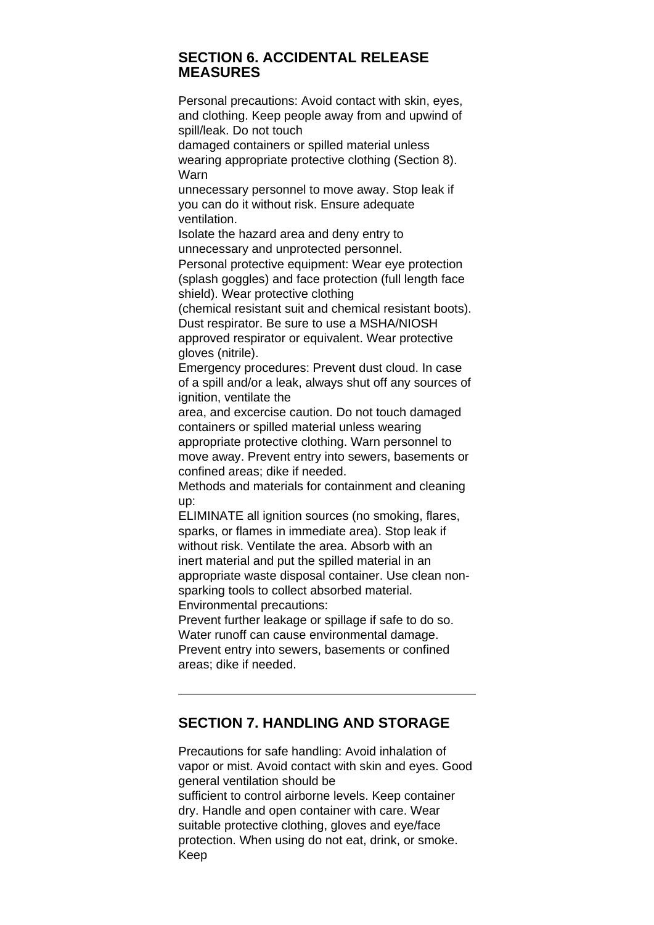#### **SECTION 6. ACCIDENTAL RELEASE MEASURES**

Personal precautions: Avoid contact with skin, eyes, and clothing. Keep people away from and upwind of spill/leak. Do not touch

damaged containers or spilled material unless wearing appropriate protective clothing (Section 8). Warn

unnecessary personnel to move away. Stop leak if you can do it without risk. Ensure adequate ventilation.

Isolate the hazard area and deny entry to unnecessary and unprotected personnel.

Personal protective equipment: Wear eye protection (splash goggles) and face protection (full length face shield). Wear protective clothing

(chemical resistant suit and chemical resistant boots). Dust respirator. Be sure to use a MSHA/NIOSH approved respirator or equivalent. Wear protective gloves (nitrile).

Emergency procedures: Prevent dust cloud. In case of a spill and/or a leak, always shut off any sources of ignition, ventilate the

area, and excercise caution. Do not touch damaged containers or spilled material unless wearing appropriate protective clothing. Warn personnel to move away. Prevent entry into sewers, basements or confined areas; dike if needed.

Methods and materials for containment and cleaning up:

ELIMINATE all ignition sources (no smoking, flares, sparks, or flames in immediate area). Stop leak if without risk. Ventilate the area. Absorb with an inert material and put the spilled material in an appropriate waste disposal container. Use clean nonsparking tools to collect absorbed material.

Environmental precautions:

Prevent further leakage or spillage if safe to do so. Water runoff can cause environmental damage. Prevent entry into sewers, basements or confined areas; dike if needed.

# **SECTION 7. HANDLING AND STORAGE**

Precautions for safe handling: Avoid inhalation of vapor or mist. Avoid contact with skin and eyes. Good general ventilation should be sufficient to control airborne levels. Keep container dry. Handle and open container with care. Wear suitable protective clothing, gloves and eye/face protection. When using do not eat, drink, or smoke. Keep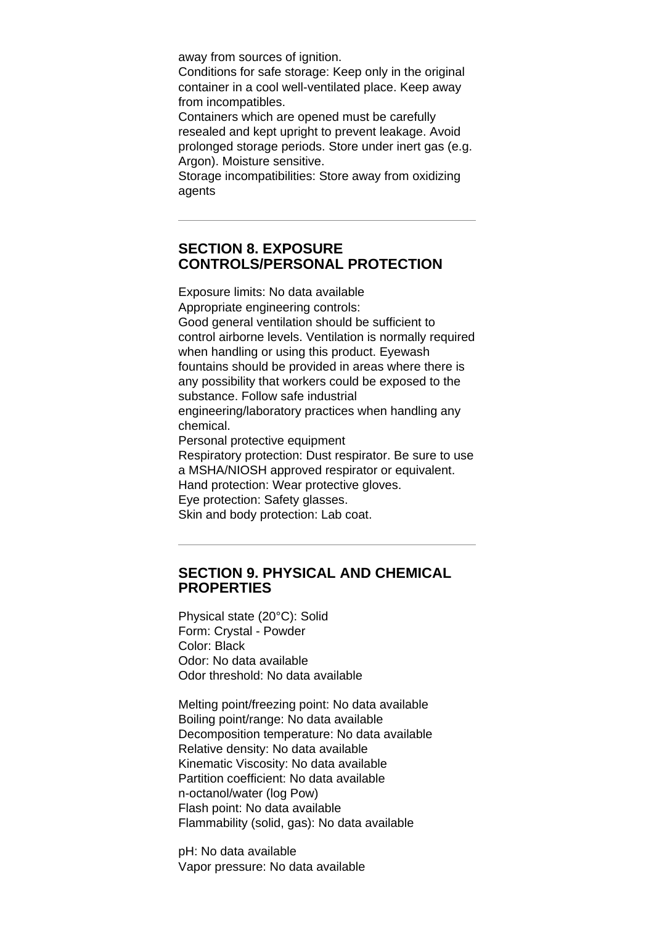away from sources of ignition.

Conditions for safe storage: Keep only in the original container in a cool well-ventilated place. Keep away from incompatibles.

Containers which are opened must be carefully resealed and kept upright to prevent leakage. Avoid prolonged storage periods. Store under inert gas (e.g. Argon). Moisture sensitive.

Storage incompatibilities: Store away from oxidizing agents

## **SECTION 8. EXPOSURE CONTROLS/PERSONAL PROTECTION**

Exposure limits: No data available Appropriate engineering controls: Good general ventilation should be sufficient to control airborne levels. Ventilation is normally required when handling or using this product. Eyewash fountains should be provided in areas where there is any possibility that workers could be exposed to the substance. Follow safe industrial engineering/laboratory practices when handling any chemical. Personal protective equipment Respiratory protection: Dust respirator. Be sure to use a MSHA/NIOSH approved respirator or equivalent. Hand protection: Wear protective gloves.

Eye protection: Safety glasses.

Skin and body protection: Lab coat.

## **SECTION 9. PHYSICAL AND CHEMICAL PROPERTIES**

Physical state (20°C): Solid Form: Crystal - Powder Color: Black Odor: No data available Odor threshold: No data available

Melting point/freezing point: No data available Boiling point/range: No data available Decomposition temperature: No data available Relative density: No data available Kinematic Viscosity: No data available Partition coefficient: No data available n-octanol/water (log Pow) Flash point: No data available Flammability (solid, gas): No data available

pH: No data available Vapor pressure: No data available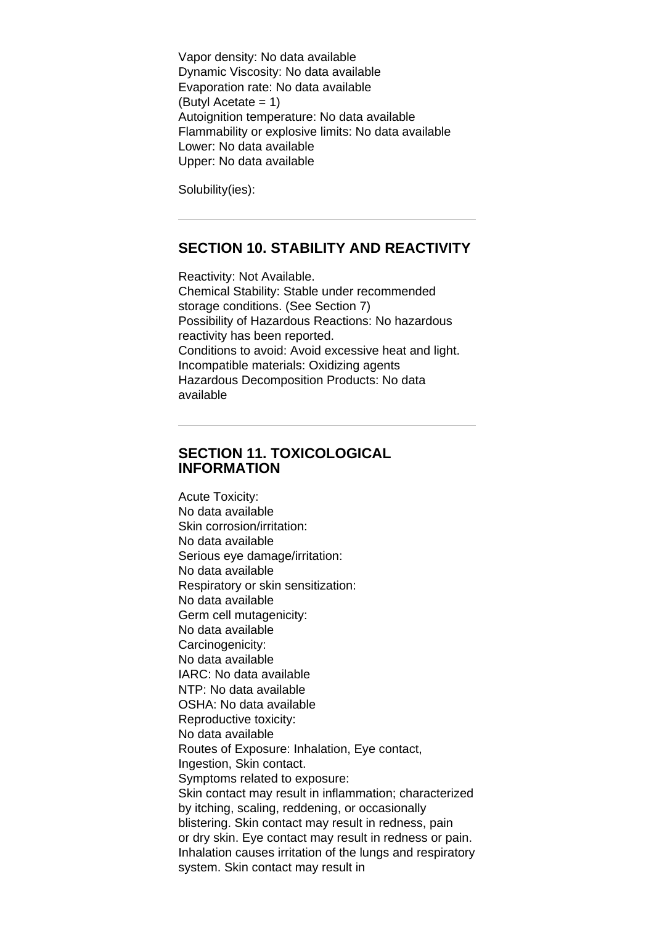Vapor density: No data available Dynamic Viscosity: No data available Evaporation rate: No data available (Butyl Acetate = 1) Autoignition temperature: No data available Flammability or explosive limits: No data available Lower: No data available Upper: No data available

Solubility(ies):

## **SECTION 10. STABILITY AND REACTIVITY**

Reactivity: Not Available. Chemical Stability: Stable under recommended storage conditions. (See Section 7) Possibility of Hazardous Reactions: No hazardous reactivity has been reported. Conditions to avoid: Avoid excessive heat and light. Incompatible materials: Oxidizing agents Hazardous Decomposition Products: No data available

## **SECTION 11. TOXICOLOGICAL INFORMATION**

Acute Toxicity: No data available Skin corrosion/irritation: No data available Serious eye damage/irritation: No data available Respiratory or skin sensitization: No data available Germ cell mutagenicity: No data available Carcinogenicity: No data available IARC: No data available NTP: No data available OSHA: No data available Reproductive toxicity: No data available Routes of Exposure: Inhalation, Eye contact, Ingestion, Skin contact. Symptoms related to exposure: Skin contact may result in inflammation; characterized by itching, scaling, reddening, or occasionally blistering. Skin contact may result in redness, pain or dry skin. Eye contact may result in redness or pain. Inhalation causes irritation of the lungs and respiratory system. Skin contact may result in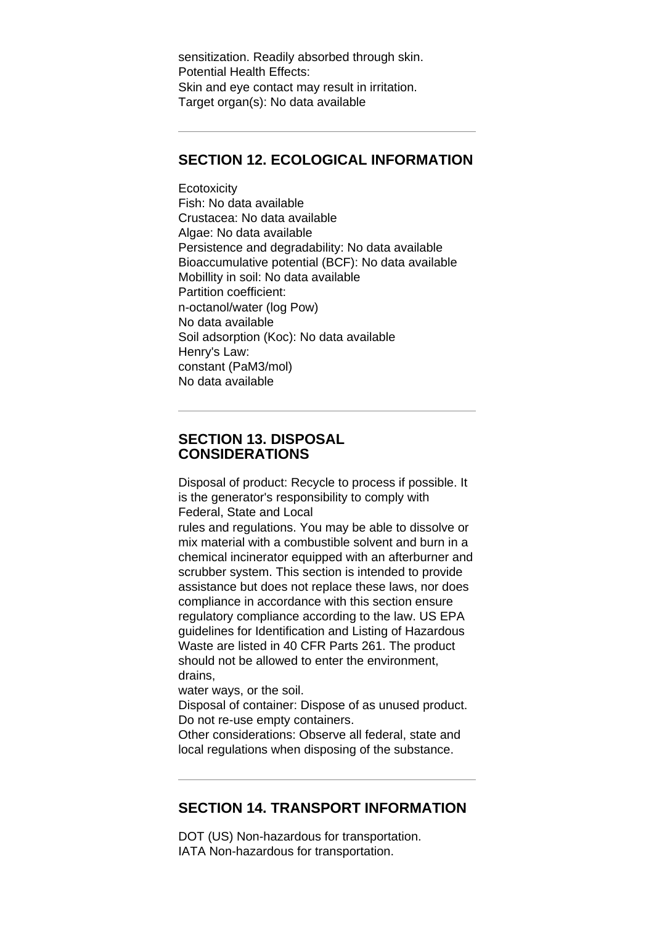sensitization. Readily absorbed through skin. Potential Health Effects: Skin and eye contact may result in irritation. Target organ(s): No data available

## **SECTION 12. ECOLOGICAL INFORMATION**

**Ecotoxicity** Fish: No data available Crustacea: No data available Algae: No data available Persistence and degradability: No data available Bioaccumulative potential (BCF): No data available Mobillity in soil: No data available Partition coefficient: n-octanol/water (log Pow) No data available Soil adsorption (Koc): No data available Henry's Law: constant (PaM3/mol) No data available

## **SECTION 13. DISPOSAL CONSIDERATIONS**

Disposal of product: Recycle to process if possible. It is the generator's responsibility to comply with Federal, State and Local

rules and regulations. You may be able to dissolve or mix material with a combustible solvent and burn in a chemical incinerator equipped with an afterburner and scrubber system. This section is intended to provide assistance but does not replace these laws, nor does compliance in accordance with this section ensure regulatory compliance according to the law. US EPA guidelines for Identification and Listing of Hazardous Waste are listed in 40 CFR Parts 261. The product should not be allowed to enter the environment, drains,

water ways, or the soil.

Disposal of container: Dispose of as unused product. Do not re-use empty containers.

Other considerations: Observe all federal, state and local regulations when disposing of the substance.

# **SECTION 14. TRANSPORT INFORMATION**

DOT (US) Non-hazardous for transportation. IATA Non-hazardous for transportation.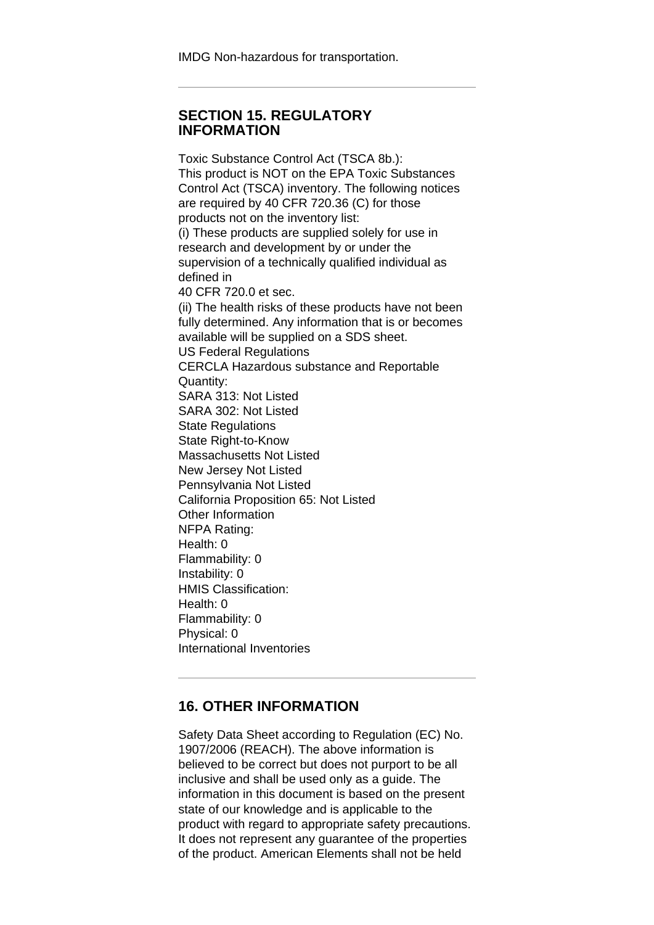IMDG Non-hazardous for transportation.

#### **SECTION 15. REGULATORY INFORMATION**

Toxic Substance Control Act (TSCA 8b.): This product is NOT on the EPA Toxic Substances Control Act (TSCA) inventory. The following notices are required by 40 CFR 720.36 (C) for those products not on the inventory list: (i) These products are supplied solely for use in research and development by or under the supervision of a technically qualified individual as defined in 40 CFR 720.0 et sec. (ii) The health risks of these products have not been fully determined. Any information that is or becomes available will be supplied on a SDS sheet. US Federal Regulations CERCLA Hazardous substance and Reportable Quantity: SARA 313: Not Listed SARA 302: Not Listed State Regulations State Right-to-Know Massachusetts Not Listed New Jersey Not Listed Pennsylvania Not Listed California Proposition 65: Not Listed Other Information NFPA Rating: Health: 0 Flammability: 0 Instability: 0 HMIS Classification: Health: 0 Flammability: 0 Physical: 0 International Inventories

# **16. OTHER INFORMATION**

Safety Data Sheet according to Regulation (EC) No. 1907/2006 (REACH). The above information is believed to be correct but does not purport to be all inclusive and shall be used only as a guide. The information in this document is based on the present state of our knowledge and is applicable to the product with regard to appropriate safety precautions. It does not represent any guarantee of the properties of the product. American Elements shall not be held